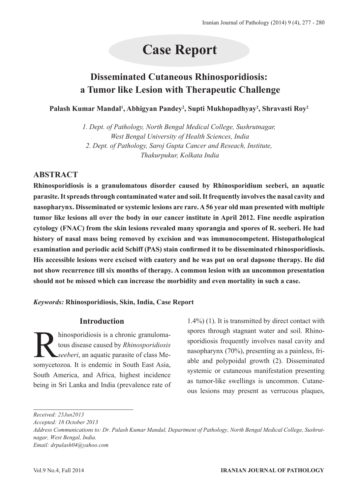# **Case Report**

# **Disseminated Cutaneous Rhinosporidiosis: a Tumor like Lesion with Therapeutic Challenge**

**Palash Kumar Mandal1 , Abhigyan Pandey2 , Supti Mukhopadhyay2 , Shravasti Roy2**

*1. Dept. of Pathology, North Bengal Medical College, Sushrutnagar, West Bengal University of Health Sciences, India 2. Dept. of Pathology, Saroj Gupta Cancer and Reseach, Institute, Thakurpukur, Kolkata India*

# **ABSTRACT**

**Rhinosporidiosis is a granulomatous disorder caused by Rhinosporidium seeberi, an aquatic parasite. It spreads through contaminated water and soil. It frequently involves the nasal cavity and nasopharynx. Disseminated or systemic lesions are rare. A 56 year old man presented with multiple tumor like lesions all over the body in our cancer institute in April 2012. Fine needle aspiration cytology (FNAC) from the skin lesions revealed many sporangia and spores of R. seeberi. He had history of nasal mass being removed by excision and was immunocompetent. Histopathological examination and periodic acid Schiff (PAS) stain confirmed it to be disseminated rhinosporidiosis. His accessible lesions were excised with cautery and he was put on oral dapsone therapy. He did not show recurrence till six months of therapy. A common lesion with an uncommon presentation should not be missed which can increase the morbidity and even mortality in such a case.** 

*Keywords:* **Rhinosporidiosis, Skin, India, Case Report**

### **Introduction**

hinosporidiosis is a chronic granuloma-<br>tous disease caused by *Rhinosporidiosis*<br>seeberi, an aquatic parasite of class Me-<br>somycetozoa. It is endemic in South East Asia tous disease caused by *Rhinosporidiosis seeberi*, an aquatic parasite of class Mesomycetozoa. It is endemic in South East Asia, South America, and Africa, highest incidence being in Sri Lanka and India (prevalence rate of 1.4%) (1). It is transmitted by direct contact with spores through stagnant water and soil. Rhinosporidiosis frequently involves nasal cavity and nasopharynx (70%), presenting as a painless, friable and polypoidal growth (2). Disseminated systemic or cutaneous manifestation presenting as tumor-like swellings is uncommon. Cutaneous lesions may present as verrucous plaques,

*Received: 25Jun2013*

*Accepted: 18 October 2013*

*Address Communications to: Dr. Palash Kumar Mandal, Department of Pathology, North Bengal Medical College, Sushrutnagar, West Bengal, India. Email: drpalash04@yahoo.com*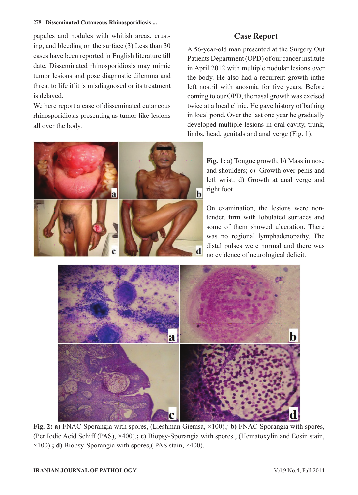#### 278 **Disseminated Cutaneous Rhinosporidiosis ...**

papules and nodules with whitish areas, crusting, and bleeding on the surface (3).Less than 30 cases have been reported in English literature till date. Disseminated rhinosporidiosis may mimic tumor lesions and pose diagnostic dilemma and threat to life if it is misdiagnosed or its treatment is delayed.

We here report a case of disseminated cutaneous rhinosporidiosis presenting as tumor like lesions all over the body.

## **Case Report**

A 56-year-old man presented at the Surgery Out Patients Department (OPD) of our cancer institute in April 2012 with multiple nodular lesions over the body. He also had a recurrent growth inthe left nostril with anosmia for five years. Before coming to our OPD, the nasal growth was excised twice at a local clinic. He gave history of bathing in local pond. Over the last one year he gradually developed multiple lesions in oral cavity, trunk, limbs, head, genitals and anal verge (Fig. 1).



**Fig. 1:** a) Tongue growth; b) Mass in nose and shoulders; c) Growth over penis and left wrist; d) Growth at anal verge and right foot

On examination, the lesions were nontender, firm with lobulated surfaces and some of them showed ulceration. There was no regional lymphadenopathy. The distal pulses were normal and there was no evidence of neurological deficit.



**Fig. 2: a)** FNAC-Sporangia with spores, (Lieshman Giemsa, ×100).*;* **b)** FNAC-Sporangia with spores, (Per Iodic Acid Schiff (PAS), ×400).**; c)** Biopsy-Sporangia with spores , (Hematoxylin and Eosin stain, ×100).**; d)** Biopsy-Sporangia with spores,( PAS stain, ×400).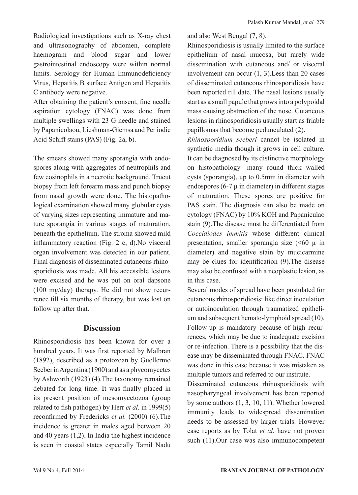Radiological investigations such as X-ray chest and ultrasonography of abdomen, complete haemogram and blood sugar and lower gastrointestinal endoscopy were within normal limits. Serology for Human Immunodeficiency Virus, Hepatitis B surface Antigen and Hepatitis C antibody were negative.

After obtaining the patient's consent, fine needle aspiration cytology (FNAC) was done from multiple swellings with 23 G needle and stained by Papanicolaou, Lieshman-Giemsa and Per iodic Acid Schiff stains (PAS) (Fig. 2a, b).

The smears showed many sporangia with endospores along with aggregates of neutrophils and few eosinophils in a necrotic background. Trucut biopsy from left forearm mass and punch biopsy from nasal growth were done. The histopathological examination showed many globular cysts of varying sizes representing immature and mature sporangia in various stages of maturation, beneath the epithelium. The stroma showed mild inflammatory reaction (Fig. 2 c, d).No visceral organ involvement was detected in our patient. Final diagnosis of disseminated cutaneous rhinosporidiosis was made. All his accessible lesions were excised and he was put on oral dapsone (100 mg/day) therapy. He did not show recurrence till six months of therapy, but was lost on follow up after that.

#### **Discussion**

Rhinosporidiosis has been known for over a hundred years. It was first reported by Malbran (1892), described as a protozoan by Guellermo Seeber in Argentina (1900) and as a phycomycetes by Ashworth (1923) (4).The taxonomy remained debated for long time. It was finally placed in its present position of mesomycetozoa (group related to fish pathogen) by Herr *et al.* in 1999(5) reconfirmed by Fredericks *et al.* (2000) (6).The incidence is greater in males aged between 20 and 40 years (1,2). In India the highest incidence is seen in coastal states especially Tamil Nadu and also West Bengal (7, 8).

Rhinosporidiosis is usually limited to the surface epithelium of nasal mucosa, but rarely wide dissemination with cutaneous and/ or visceral involvement can occur (1, 3).Less than 20 cases of disseminated cutaneous rhinosporidiosis have been reported till date. The nasal lesions usually start as a small papule that grows into a polypoidal mass causing obstruction of the nose. Cutaneous lesions in rhinosporidiosis usually start as friable papillomas that become pedunculated (2).

*Rhinosporidium seeberi* cannot be isolated in synthetic media though it grows in cell culture. It can be diagnosed by its distinctive morphology on histopathology- many round thick walled cysts (sporangia), up to 0.5mm in diameter with endospores  $(6-7 \mu)$  in diameter) in different stages of maturation. These spores are positive for PAS stain. The diagnosis can also be made on cytology (FNAC) by 10% KOH and Papaniculao stain (9).The disease must be differentiated from *Coccidiodes immitis* whose different clinical presentation, smaller sporangia size  $( $60 \mu$  in$ diameter) and negative stain by mucicarmine may be clues for identification (9).The disease may also be confused with a neoplastic lesion, as in this case.

Several modes of spread have been postulated for cutaneous rhinosporidiosis: like direct inoculation or autoinoculation through traumatized epithelium and subsequent hemato-lymphoid spread (10). Follow-up is mandatory because of high recurrences, which may be due to inadequate excision or re-infection. There is a possibility that the disease may be disseminated through FNAC. FNAC was done in this case because it was mistaken as multiple tumors and referred to our institute.

Disseminated cutaneous rhinosporidiosis with nasopharyngeal involvement has been reported by some authors (1, 3, 10, 11). Whether lowered immunity leads to widespread dissemination needs to be assessed by larger trials. However case reports as by Tolat *et al.* have not proven such (11).Our case was also immunocompetent